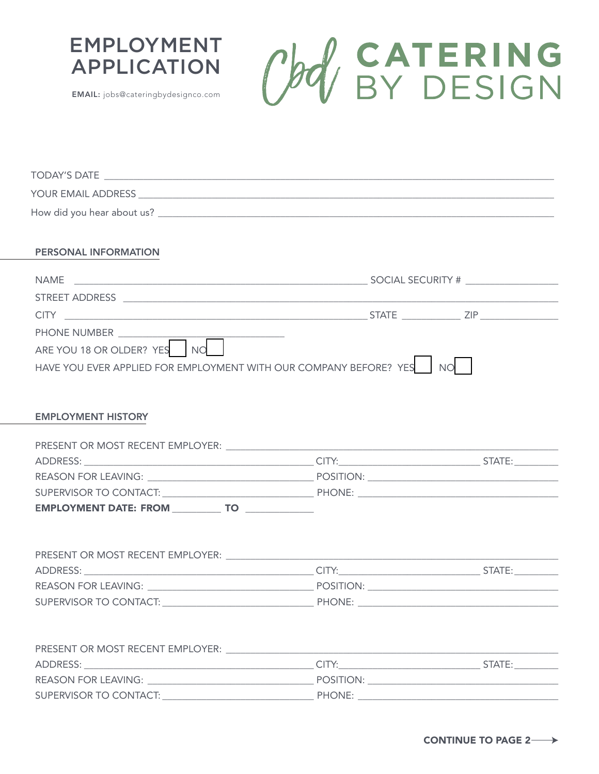





| PERSONAL INFORMATION                                                   |  |
|------------------------------------------------------------------------|--|
|                                                                        |  |
|                                                                        |  |
|                                                                        |  |
| PHONE NUMBER __________                                                |  |
| ARE YOU 18 OR OLDER? YES NO                                            |  |
| HAVE YOU EVER APPLIED FOR EMPLOYMENT WITH OUR COMPANY BEFORE? YES   NO |  |
|                                                                        |  |
|                                                                        |  |
| <b>EMPLOYMENT HISTORY</b>                                              |  |
|                                                                        |  |
|                                                                        |  |
|                                                                        |  |
|                                                                        |  |
|                                                                        |  |
| EMPLOYMENT DATE: FROM _____________ TO _______________                 |  |
|                                                                        |  |
|                                                                        |  |
|                                                                        |  |
|                                                                        |  |
|                                                                        |  |
|                                                                        |  |
|                                                                        |  |
|                                                                        |  |
|                                                                        |  |
|                                                                        |  |
|                                                                        |  |